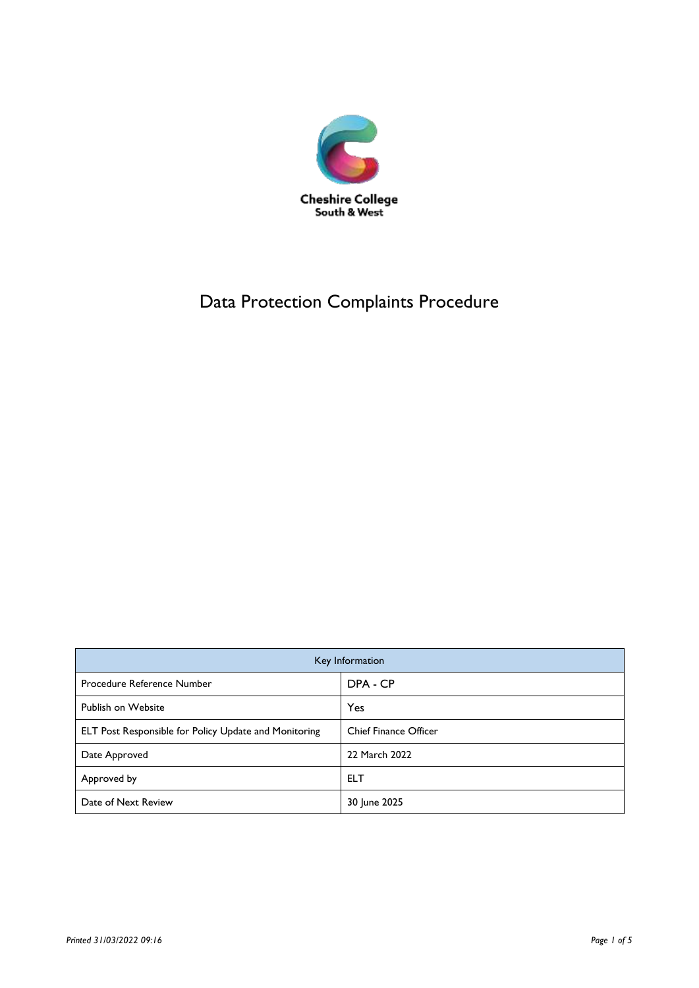

# Data Protection Complaints Procedure

| Key Information                                       |                              |
|-------------------------------------------------------|------------------------------|
| Procedure Reference Number                            | DPA - CP                     |
| Publish on Website                                    | Yes                          |
| ELT Post Responsible for Policy Update and Monitoring | <b>Chief Finance Officer</b> |
| Date Approved                                         | 22 March 2022                |
| Approved by                                           | <b>ELT</b>                   |
| Date of Next Review                                   | 30 June 2025                 |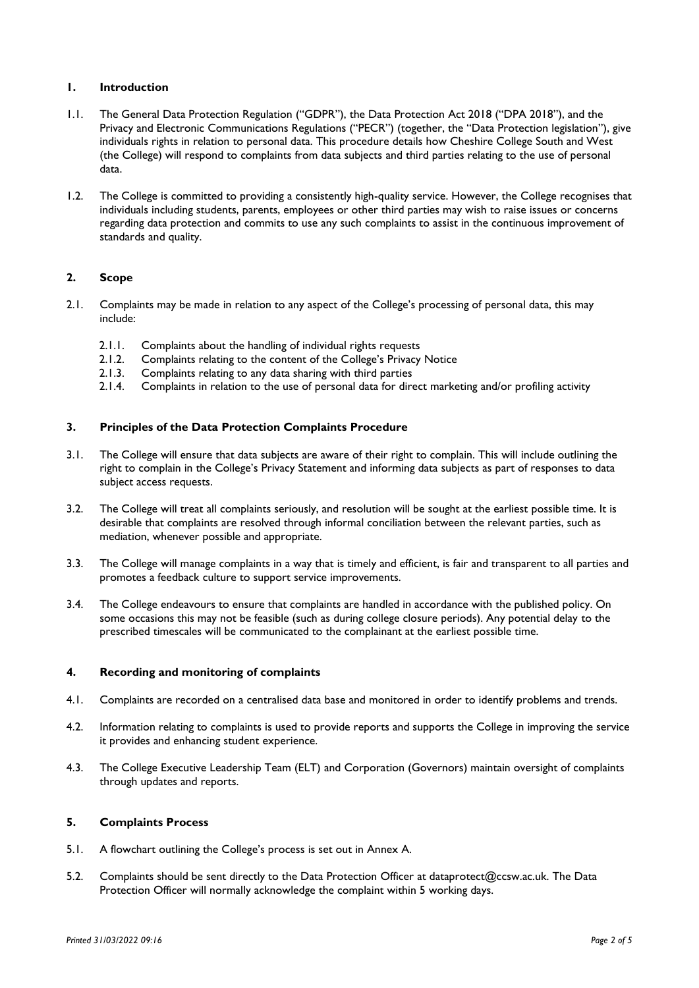### **1. Introduction**

- 1.1. The General Data Protection Regulation ("GDPR"), the Data Protection Act 2018 ("DPA 2018"), and the Privacy and Electronic Communications Regulations ("PECR") (together, the "Data Protection legislation"), give individuals rights in relation to personal data. This procedure details how Cheshire College South and West (the College) will respond to complaints from data subjects and third parties relating to the use of personal data.
- 1.2. The College is committed to providing a consistently high-quality service. However, the College recognises that individuals including students, parents, employees or other third parties may wish to raise issues or concerns regarding data protection and commits to use any such complaints to assist in the continuous improvement of standards and quality.

## **2. Scope**

- 2.1. Complaints may be made in relation to any aspect of the College's processing of personal data, this may include:
	- 2.1.1. Complaints about the handling of individual rights requests
	- 2.1.2. Complaints relating to the content of the College's Privacy Notice
	- 2.1.3. Complaints relating to any data sharing with third parties
	- 2.1.4. Complaints in relation to the use of personal data for direct marketing and/or profiling activity

#### **3. Principles of the Data Protection Complaints Procedure**

- 3.1. The College will ensure that data subjects are aware of their right to complain. This will include outlining the right to complain in the College's Privacy Statement and informing data subjects as part of responses to data subject access requests.
- 3.2. The College will treat all complaints seriously, and resolution will be sought at the earliest possible time. It is desirable that complaints are resolved through informal conciliation between the relevant parties, such as mediation, whenever possible and appropriate.
- 3.3. The College will manage complaints in a way that is timely and efficient, is fair and transparent to all parties and promotes a feedback culture to support service improvements.
- 3.4. The College endeavours to ensure that complaints are handled in accordance with the published policy. On some occasions this may not be feasible (such as during college closure periods). Any potential delay to the prescribed timescales will be communicated to the complainant at the earliest possible time.

#### **4. Recording and monitoring of complaints**

- 4.1. Complaints are recorded on a centralised data base and monitored in order to identify problems and trends.
- 4.2. Information relating to complaints is used to provide reports and supports the College in improving the service it provides and enhancing student experience.
- 4.3. The College Executive Leadership Team (ELT) and Corporation (Governors) maintain oversight of complaints through updates and reports.

## **5. Complaints Process**

- 5.1. A flowchart outlining the College's process is set out in Annex A.
- 5.2. Complaints should be sent directly to the Data Protection Officer at dataprotect@ccsw.ac.uk. The Data Protection Officer will normally acknowledge the complaint within 5 working days.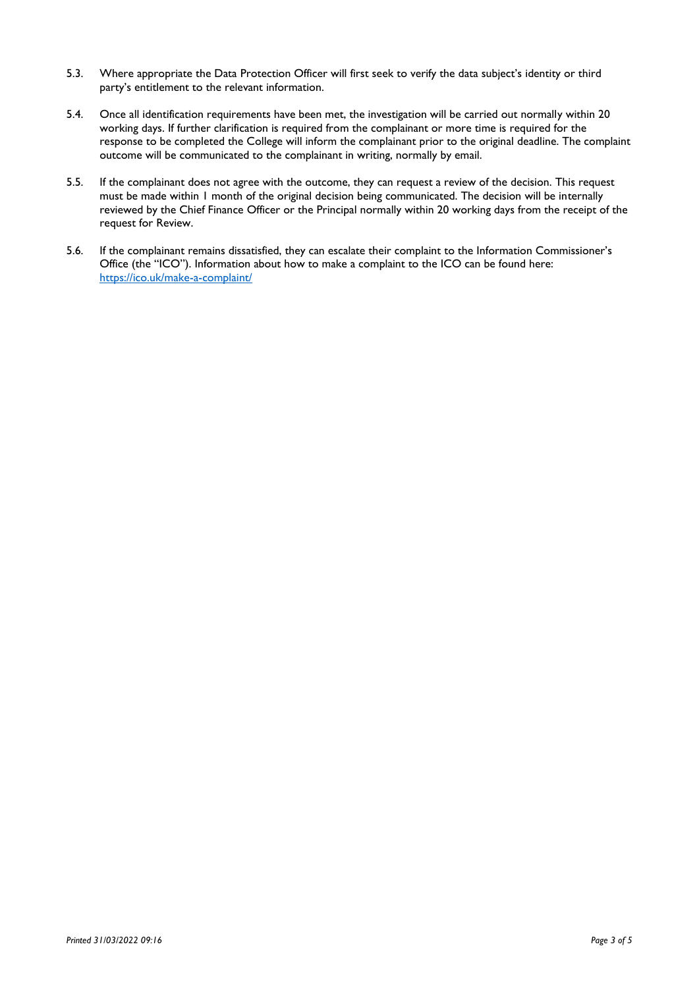- 5.3. Where appropriate the Data Protection Officer will first seek to verify the data subject's identity or third party's entitlement to the relevant information.
- 5.4. Once all identification requirements have been met, the investigation will be carried out normally within 20 working days. If further clarification is required from the complainant or more time is required for the response to be completed the College will inform the complainant prior to the original deadline. The complaint outcome will be communicated to the complainant in writing, normally by email.
- 5.5. If the complainant does not agree with the outcome, they can request a review of the decision. This request must be made within 1 month of the original decision being communicated. The decision will be internally reviewed by the Chief Finance Officer or the Principal normally within 20 working days from the receipt of the request for Review.
- 5.6. If the complainant remains dissatisfied, they can escalate their complaint to the Information Commissioner's Office (the "ICO"). Information about how to make a complaint to the ICO can be found here: <https://ico.uk/make-a-complaint/>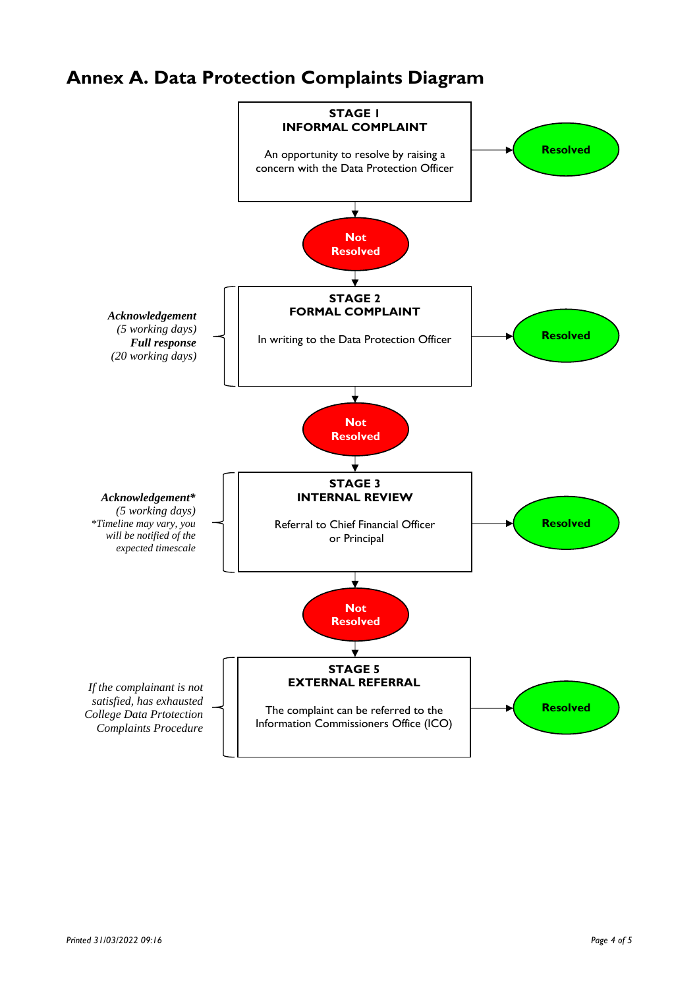# **Annex A. Data Protection Complaints Diagram**